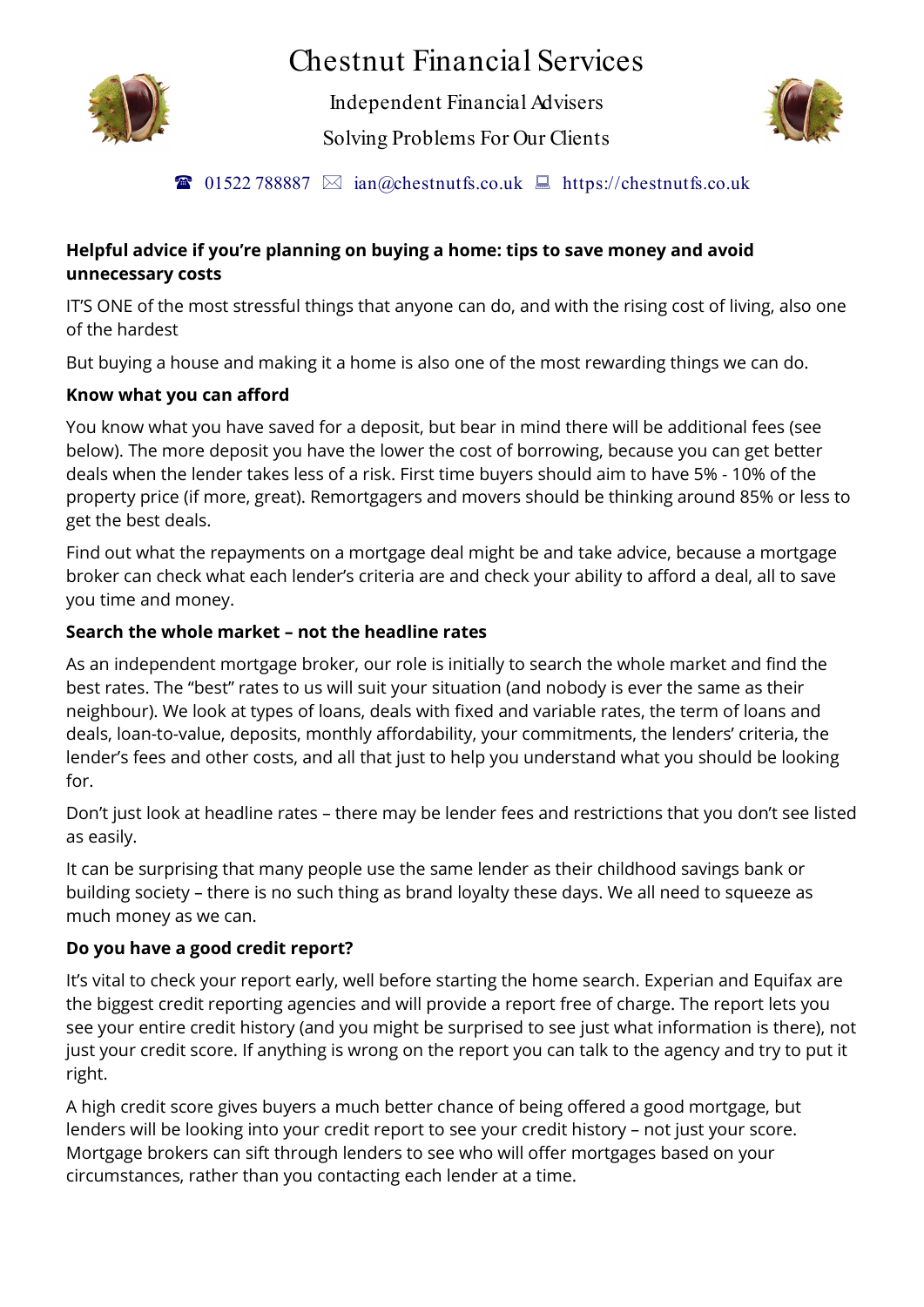# Chestnut Financial Services



Independent Financial Advisers

Solving Problems For Our Clients



**101522 788887**  $\boxtimes$  ian@chestnutfs.co.uk  $\boxplus$  https://chestnutfs.co.uk

#### **Helpful advice if you're planning on buying a home: tips to save money and avoid unnecessary costs**

IT'S ONE of the most stressful things that anyone can do, and with the rising cost of living, also one of the hardest

But buying a house and making it a home is also one of the most rewarding things we can do.

## **Know what you can afford**

You know what you have saved for a deposit, but bear in mind there will be additional fees (see below). The more deposit you have the lower the cost of borrowing, because you can get better deals when the lender takes less of a risk. First time buyers should aim to have 5% - 10% of the property price (if more, great). Remortgagers and movers should be thinking around 85% or less to get the best deals.

Find out what the repayments on a mortgage deal might be and take advice, because a mortgage broker can check what each lender's criteria are and check your ability to afford a deal, all to save you time and money.

## **Search the whole market – not the headline rates**

As an independent mortgage broker, our role is initially to search the whole market and find the best rates. The "best" rates to us will suit your situation (and nobody is ever the same as their neighbour). We look at types of loans, deals with fixed and variable rates, the term of loans and deals, loan-to-value, deposits, monthly affordability, your commitments, the lenders' criteria, the lender's fees and other costs, and all that just to help you understand what you should be looking for.

Don't just look at headline rates – there may be lender fees and restrictions that you don't see listed as easily.

It can be surprising that many people use the same lender as their childhood savings bank or building society – there is no such thing as brand loyalty these days. We all need to squeeze as much money as we can.

#### **Do you have a good credit report?**

It's vital to check your report early, well before starting the home search. Experian and Equifax are the biggest credit reporting agencies and will provide a report free of charge. The report lets you see your entire credit history (and you might be surprised to see just what information is there), not just your credit score. If anything is wrong on the report you can talk to the agency and try to put it right.

A high credit score gives buyers a much better chance of being offered a good mortgage, but lenders will be looking into your credit report to see your credit history – not just your score. Mortgage brokers can sift through lenders to see who will offer mortgages based on your circumstances, rather than you contacting each lender at a time.